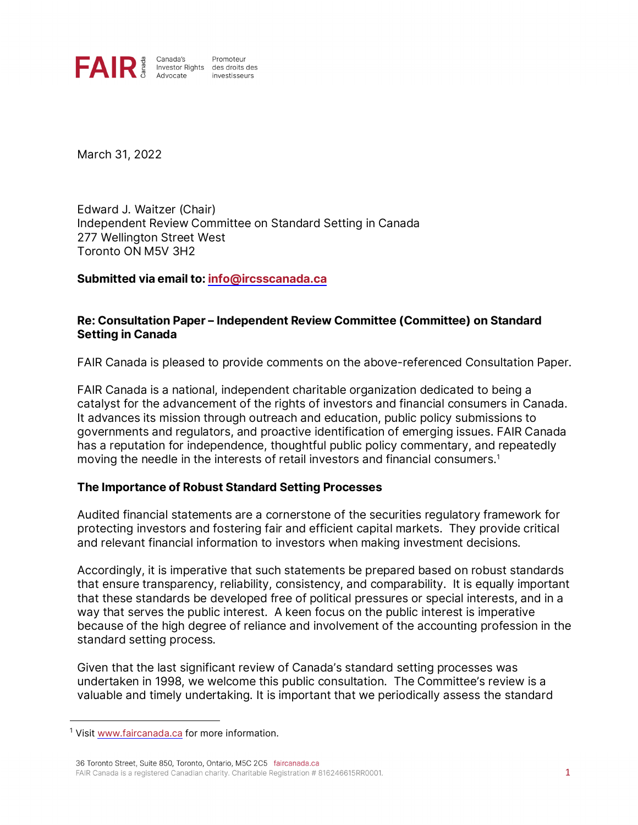

March 31, 2022

Edward J. Waitzer (Chair) Independent Review Committee on Standard Setting in Canada 277 Wellington Street West Toronto ON M5V 3H2

**Submitted via email to[: info@ircsscanada.ca](mailto:info@ircsscanada.ca)**

### **Re: Consultation Paper – Independent Review Committee (Committee) on Standard Setting in Canada**

FAIR Canada is pleased to provide comments on the above-referenced Consultation Paper.

FAIR Canada is a national, independent charitable organization dedicated to being a catalyst for the advancement of the rights of investors and financial consumers in Canada. It advances its mission through outreach and education, public policy submissions to governments and regulators, and proactive identification of emerging issues. FAIR Canada has a reputation for independence, thoughtful public policy commentary, and repeatedly moving the needle in the interests of retail investors and financial consumers.[1](#page-0-0)

#### **The Importance of Robust Standard Setting Processes**

Audited financial statements are a cornerstone of the securities regulatory framework for protecting investors and fostering fair and efficient capital markets. They provide critical and relevant financial information to investors when making investment decisions.

Accordingly, it is imperative that such statements be prepared based on robust standards that ensure transparency, reliability, consistency, and comparability. It is equally important that these standards be developed free of political pressures or special interests, and in a way that serves the public interest. A keen focus on the public interest is imperative because of the high degree of reliance and involvement of the accounting profession in the standard setting process.

Given that the last significant review of Canada's standard setting processes was undertaken in 1998, we welcome this public consultation. The Committee's review is a valuable and timely undertaking. It is important that we periodically assess the standard

<span id="page-0-0"></span><sup>&</sup>lt;sup>1</sup> Visi[t www.faircanada.ca](http://www.faircanada.ca/) for more information.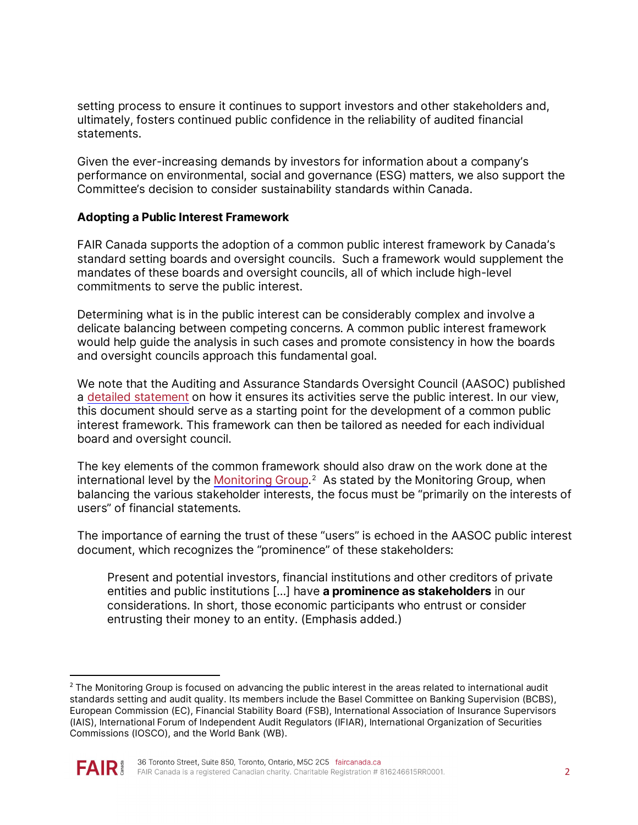setting process to ensure it continues to support investors and other stakeholders and, ultimately, fosters continued public confidence in the reliability of audited financial statements.

Given the ever-increasing demands by investors for information about a company's performance on environmental, social and governance (ESG) matters, we also support the Committee's decision to consider sustainability standards within Canada.

### **Adopting a Public Interest Framework**

FAIR Canada supports the adoption of a common public interest framework by Canada's standard setting boards and oversight councils. Such a framework would supplement the mandates of these boards and oversight councils, all of which include high-level commitments to serve the public interest.

Determining what is in the public interest can be considerably complex and involve a delicate balancing between competing concerns. A common public interest framework would help guide the analysis in such cases and promote consistency in how the boards and oversight councils approach this fundamental goal.

We note that the Auditing and Assurance Standards Oversight Council (AASOC) published a [detailed statement](https://www.frascanada.ca/en/aasoc/about/public-interest) on how it ensures its activities serve the public interest. In our view, this document should serve as a starting point for the development of a common public interest framework. This framework can then be tailored as needed for each individual board and oversight council.

The key elements of the common framework should also draw on the [work done](https://www.iosco.org/about/monitoring_group/pdf/2020-07-MG-Paper-Strengthening-The-International-Audit-And-Ethics-Standard-Setting-System.pdf) at the international level by the <u>Monitoring Group</u>.<sup>[2](#page-1-0)</sup> As stated by the Monitoring Group, when balancing the various stakeholder interests, the focus must be "primarily on the interests of users" of financial statements.

The importance of earning the trust of these "users" is echoed in the AASOC public interest document, which recognizes the "prominence" of these stakeholders:

Present and potential investors, financial institutions and other creditors of private entities and public institutions […] have **a prominence as stakeholders** in our considerations. In short, those economic participants who entrust or consider entrusting their money to an entity. (Emphasis added.)

<span id="page-1-0"></span><sup>&</sup>lt;sup>2</sup> The Monitoring Group is focused on advancing the public interest in the areas related to international audit standards setting and audit quality. Its members include the Basel Committee on Banking Supervision (BCBS), European Commission (EC), Financial Stability Board (FSB), International Association of Insurance Supervisors (IAIS), International Forum of Independent Audit Regulators (IFIAR), International Organization of Securities Commissions (IOSCO), and the World Bank (WB).

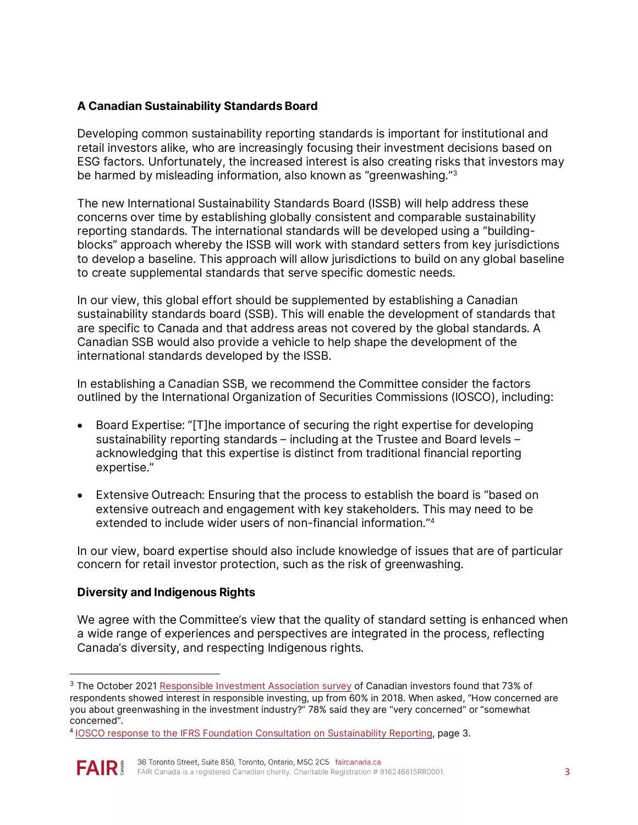# **A Canadian Sustainability Standards Board**

Developing common sustainability reporting standards is important for institutional and retail investors alike, who are increasingly focusing their investment decisions based on ESG factors. Unfortunately, the increased interest is also creating risks that investors may be harmed by misleading information, also known as "greenwashing."[3](#page-2-0) 

The new International Sustainability Standards Board (ISSB) will help address these concerns over time by establishing globally consistent and comparable sustainability reporting standards. The international standards will be developed using a "buildingblocks" approach whereby the ISSB will work with standard setters from key jurisdictions to develop a baseline. This approach will allow jurisdictions to build on any global baseline to create supplemental standards that serve specific domestic needs.

In our view, this global effort should be supplemented by establishing a Canadian sustainability standards board (SSB). This will enable the development of standards that are specific to Canada and that address areas not covered by the global standards. A Canadian SSB would also provide a vehicle to help shape the development of the international standards developed by the ISSB.

In establishing a Canadian SSB, we recommend the Committee consider the factors outlined by the International Organization of Securities Commissions (IOSCO), including:

- Board Expertise: "[T]he importance of securing the right expertise for developing sustainability reporting standards – including at the Trustee and Board levels – acknowledging that this expertise is distinct from traditional financial reporting expertise."
- Extensive Outreach: Ensuring that the process to establish the board is "based on extensive outreach and engagement with key stakeholders. This may need to be extended to include wider users of non-financial information.["4](#page-2-1)

In our view, board expertise should also include knowledge of issues that are of particular concern for retail investor protection, such as the risk of greenwashing.

## **Diversity and Indigenous Rights**

We agree with the Committee's view that the quality of standard setting is enhanced when a wide range of experiences and perspectives are integrated in the process, reflecting Canada's diversity, and respecting Indigenous rights.

<span id="page-2-1"></span><sup>4</sup> [IOSCO response to the IFRS Foundation Consultation on Sustainability Reporting,](https://www.iosco.org/library/comment_letters/pdf/IFRS-17.pdf) page 3.



<span id="page-2-0"></span><sup>&</sup>lt;sup>3</sup> The October 2021 [Responsible Investment Association survey](https://www.riacanada.ca/research/2021-ria-investor-opinion-survey/) of Canadian investors found that 73% of respondents showed interest in responsible investing, up from 60% in 2018. When asked, "How concerned are you about greenwashing in the investment industry?" 78% said they are "very concerned" or "somewhat concerned".